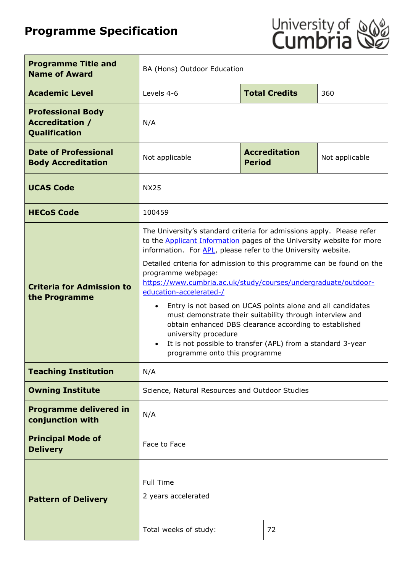# **Programme Specification**



| <b>Programme Title and</b><br><b>Name of Award</b>                  | BA (Hons) Outdoor Education                                                                                                                                                                                                                                                                                                                                                                                                                                                                                                                                                                                                                                                                                                    |                                       |                |
|---------------------------------------------------------------------|--------------------------------------------------------------------------------------------------------------------------------------------------------------------------------------------------------------------------------------------------------------------------------------------------------------------------------------------------------------------------------------------------------------------------------------------------------------------------------------------------------------------------------------------------------------------------------------------------------------------------------------------------------------------------------------------------------------------------------|---------------------------------------|----------------|
| <b>Academic Level</b>                                               | Levels 4-6                                                                                                                                                                                                                                                                                                                                                                                                                                                                                                                                                                                                                                                                                                                     | <b>Total Credits</b>                  | 360            |
| <b>Professional Body</b><br><b>Accreditation /</b><br>Qualification | N/A                                                                                                                                                                                                                                                                                                                                                                                                                                                                                                                                                                                                                                                                                                                            |                                       |                |
| <b>Date of Professional</b><br><b>Body Accreditation</b>            | Not applicable                                                                                                                                                                                                                                                                                                                                                                                                                                                                                                                                                                                                                                                                                                                 | <b>Accreditation</b><br><b>Period</b> | Not applicable |
| <b>UCAS Code</b>                                                    | <b>NX25</b>                                                                                                                                                                                                                                                                                                                                                                                                                                                                                                                                                                                                                                                                                                                    |                                       |                |
| <b>HECoS Code</b>                                                   | 100459                                                                                                                                                                                                                                                                                                                                                                                                                                                                                                                                                                                                                                                                                                                         |                                       |                |
| <b>Criteria for Admission to</b><br>the Programme                   | The University's standard criteria for admissions apply. Please refer<br>to the <b>Applicant Information</b> pages of the University website for more<br>information. For APL, please refer to the University website.<br>Detailed criteria for admission to this programme can be found on the<br>programme webpage:<br>https://www.cumbria.ac.uk/study/courses/undergraduate/outdoor-<br>education-accelerated-/<br>Entry is not based on UCAS points alone and all candidates<br>must demonstrate their suitability through interview and<br>obtain enhanced DBS clearance according to established<br>university procedure<br>It is not possible to transfer (APL) from a standard 3-year<br>programme onto this programme |                                       |                |
| <b>Teaching Institution</b>                                         | N/A                                                                                                                                                                                                                                                                                                                                                                                                                                                                                                                                                                                                                                                                                                                            |                                       |                |
| <b>Owning Institute</b>                                             | Science, Natural Resources and Outdoor Studies                                                                                                                                                                                                                                                                                                                                                                                                                                                                                                                                                                                                                                                                                 |                                       |                |
| <b>Programme delivered in</b><br>conjunction with                   | N/A                                                                                                                                                                                                                                                                                                                                                                                                                                                                                                                                                                                                                                                                                                                            |                                       |                |
| <b>Principal Mode of</b><br><b>Delivery</b>                         | Face to Face                                                                                                                                                                                                                                                                                                                                                                                                                                                                                                                                                                                                                                                                                                                   |                                       |                |
| <b>Pattern of Delivery</b>                                          | <b>Full Time</b><br>2 years accelerated<br>Total weeks of study:<br>72                                                                                                                                                                                                                                                                                                                                                                                                                                                                                                                                                                                                                                                         |                                       |                |
|                                                                     |                                                                                                                                                                                                                                                                                                                                                                                                                                                                                                                                                                                                                                                                                                                                |                                       |                |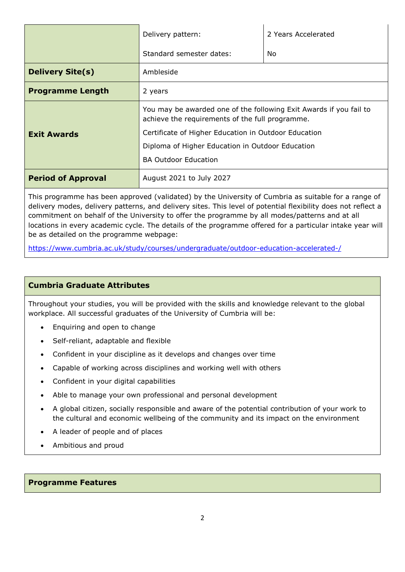|                           | Delivery pattern:                                                                                                     | 2 Years Accelerated |  |
|---------------------------|-----------------------------------------------------------------------------------------------------------------------|---------------------|--|
|                           | Standard semester dates:                                                                                              | No.                 |  |
| <b>Delivery Site(s)</b>   | Ambleside                                                                                                             |                     |  |
| <b>Programme Length</b>   | 2 years                                                                                                               |                     |  |
|                           | You may be awarded one of the following Exit Awards if you fail to<br>achieve the requirements of the full programme. |                     |  |
| <b>Exit Awards</b>        | Certificate of Higher Education in Outdoor Education                                                                  |                     |  |
|                           | Diploma of Higher Education in Outdoor Education                                                                      |                     |  |
|                           | <b>BA Outdoor Education</b>                                                                                           |                     |  |
| <b>Period of Approval</b> | August 2021 to July 2027                                                                                              |                     |  |

This programme has been approved (validated) by the University of Cumbria as suitable for a range of delivery modes, delivery patterns, and delivery sites. This level of potential flexibility does not reflect a commitment on behalf of the University to offer the programme by all modes/patterns and at all locations in every academic cycle. The details of the programme offered for a particular intake year will be as detailed on the programme webpage:

<https://www.cumbria.ac.uk/study/courses/undergraduate/outdoor-education-accelerated-/>

## **Cumbria Graduate Attributes**

Throughout your studies, you will be provided with the skills and knowledge relevant to the global workplace. All successful graduates of the University of Cumbria will be:

- Enquiring and open to change
- Self-reliant, adaptable and flexible
- Confident in your discipline as it develops and changes over time
- Capable of working across disciplines and working well with others
- Confident in your digital capabilities
- Able to manage your own professional and personal development
- A global citizen, socially responsible and aware of the potential contribution of your work to the cultural and economic wellbeing of the community and its impact on the environment
- A leader of people and of places
- Ambitious and proud

#### **Programme Features**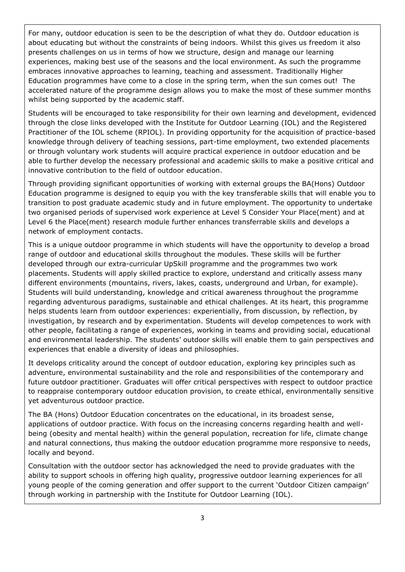For many, outdoor education is seen to be the description of what they do. Outdoor education is about educating but without the constraints of being indoors. Whilst this gives us freedom it also presents challenges on us in terms of how we structure, design and manage our learning experiences, making best use of the seasons and the local environment. As such the programme embraces innovative approaches to learning, teaching and assessment. Traditionally Higher Education programmes have come to a close in the spring term, when the sun comes out! The accelerated nature of the programme design allows you to make the most of these summer months whilst being supported by the academic staff.

Students will be encouraged to take responsibility for their own learning and development, evidenced through the close links developed with the Institute for Outdoor Learning (IOL) and the Registered Practitioner of the IOL scheme (RPIOL). In providing opportunity for the acquisition of practice-based knowledge through delivery of teaching sessions, part-time employment, two extended placements or through voluntary work students will acquire practical experience in outdoor education and be able to further develop the necessary professional and academic skills to make a positive critical and innovative contribution to the field of outdoor education.

Through providing significant opportunities of working with external groups the BA(Hons) Outdoor Education programme is designed to equip you with the key transferable skills that will enable you to transition to post graduate academic study and in future employment. The opportunity to undertake two organised periods of supervised work experience at Level 5 Consider Your Place(ment) and at Level 6 the Place(ment) research module further enhances transferrable skills and develops a network of employment contacts.

This is a unique outdoor programme in which students will have the opportunity to develop a broad range of outdoor and educational skills throughout the modules. These skills will be further developed through our extra-curricular UpSkill programme and the programmes two work placements. Students will apply skilled practice to explore, understand and critically assess many different environments (mountains, rivers, lakes, coasts, underground and Urban, for example). Students will build understanding, knowledge and critical awareness throughout the programme regarding adventurous paradigms, sustainable and ethical challenges. At its heart, this programme helps students learn from outdoor experiences: experientially, from discussion, by reflection, by investigation, by research and by experimentation. Students will develop competences to work with other people, facilitating a range of experiences, working in teams and providing social, educational and environmental leadership. The students' outdoor skills will enable them to gain perspectives and experiences that enable a diversity of ideas and philosophies.

It develops criticality around the concept of outdoor education, exploring key principles such as adventure, environmental sustainability and the role and responsibilities of the contemporary and future outdoor practitioner. Graduates will offer critical perspectives with respect to outdoor practice to reappraise contemporary outdoor education provision, to create ethical, environmentally sensitive yet adventurous outdoor practice.

The BA (Hons) Outdoor Education concentrates on the educational, in its broadest sense, applications of outdoor practice. With focus on the increasing concerns regarding health and wellbeing (obesity and mental health) within the general population, recreation for life, climate change and natural connections, thus making the outdoor education programme more responsive to needs, locally and beyond.

Consultation with the outdoor sector has acknowledged the need to provide graduates with the ability to support schools in offering high quality, progressive outdoor learning experiences for all young people of the coming generation and offer support to the current 'Outdoor Citizen campaign' through working in partnership with the Institute for Outdoor Learning (IOL).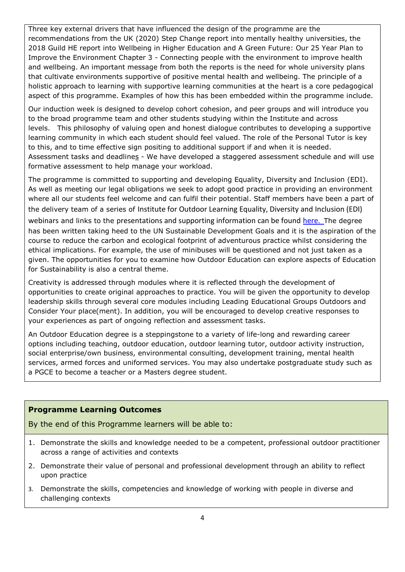Three key external drivers that have influenced the design of the programme are the recommendations from the UK (2020) Step Change report into mentally healthy universities, the 2018 Guild HE report into Wellbeing in Higher Education and A Green Future: Our 25 Year Plan to Improve the Environment Chapter 3 - Connecting people with the environment to improve health and wellbeing. An important message from both the reports is the need for whole university plans that cultivate environments supportive of positive mental health and wellbeing. The principle of a holistic approach to learning with supportive learning communities at the heart is a core pedagogical aspect of this programme. Examples of how this has been embedded within the programme include.

Our induction week is designed to develop cohort cohesion, and peer groups and will introduce you to the broad programme team and other students studying within the Institute and across levels. This philosophy of valuing open and honest dialogue contributes to developing a supportive learning community in which each student should feel valued. The role of the Personal Tutor is key to this, and to time effective sign positing to additional support if and when it is needed. Assessment tasks and deadlines - We have developed a staggered assessment schedule and will use formative assessment to help manage your workload.

The programme is committed to supporting and developing Equality, Diversity and Inclusion (EDI). As well as meeting our legal obligations we seek to adopt good practice in providing an environment where all our students feel welcome and can fulfil their potential. Staff members have been a part of the delivery team of a series of Institute for Outdoor Learning Equality, Diversity and Inclusion (EDI) webinars and links to the presentations and supporting information can be found [here.](https://bit.ly/3pfl8ls) The degree has been written taking heed to the UN Sustainable Development Goals and it is the aspiration of the course to reduce the carbon and ecological footprint of adventurous practice whilst considering the ethical implications. For example, the use of minibuses will be questioned and not just taken as a given. The opportunities for you to examine how Outdoor Education can explore aspects of Education for Sustainability is also a central theme.

Creativity is addressed through modules where it is reflected through the development of opportunities to create original approaches to practice. You will be given the opportunity to develop leadership skills through several core modules including Leading Educational Groups Outdoors and Consider Your place(ment). In addition, you will be encouraged to develop creative responses to your experiences as part of ongoing reflection and assessment tasks.

An Outdoor Education degree is a steppingstone to a variety of life-long and rewarding career options including teaching, outdoor education, outdoor learning tutor, outdoor activity instruction, social enterprise/own business, environmental consulting, development training, mental health services, armed forces and uniformed services. You may also undertake postgraduate study such as a PGCE to become a teacher or a Masters degree student.

#### **Programme Learning Outcomes**

By the end of this Programme learners will be able to:

- 1. Demonstrate the skills and knowledge needed to be a competent, professional outdoor practitioner across a range of activities and contexts
- 2. Demonstrate their value of personal and professional development through an ability to reflect upon practice
- 3. Demonstrate the skills, competencies and knowledge of working with people in diverse and challenging contexts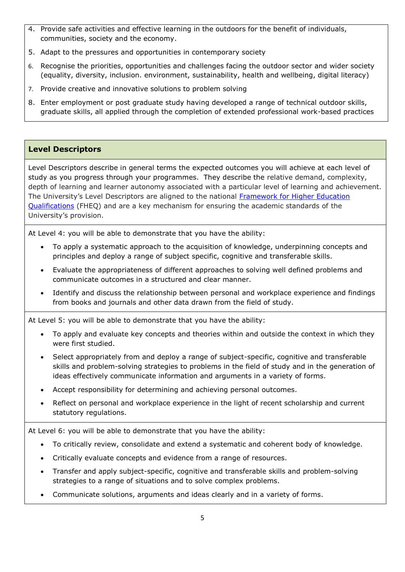- 4. Provide safe activities and effective learning in the outdoors for the benefit of individuals, communities, society and the economy.
- 5. Adapt to the pressures and opportunities in contemporary society
- 6. Recognise the priorities, opportunities and challenges facing the outdoor sector and wider society (equality, diversity, inclusion. environment, sustainability, health and wellbeing, digital literacy)
- 7. Provide creative and innovative solutions to problem solving
- 8. Enter employment or post graduate study having developed a range of technical outdoor skills, graduate skills, all applied through the completion of extended professional work-based practices

# **Level Descriptors**

Level Descriptors describe in general terms the expected outcomes you will achieve at each level of study as you progress through your programmes. They describe the relative demand, complexity, depth of learning and learner autonomy associated with a particular level of learning and achievement. The University's Level Descriptors are aligned to the national Framework for Higher Education [Qualifications](https://www.qaa.ac.uk/docs/qaa/quality-code/qualifications-frameworks.pdf) (FHEQ) and are a key mechanism for ensuring the academic standards of the University's provision.

At Level 4: you will be able to demonstrate that you have the ability:

- To apply a systematic approach to the acquisition of knowledge, underpinning concepts and principles and deploy a range of subject specific, cognitive and transferable skills.
- Evaluate the appropriateness of different approaches to solving well defined problems and communicate outcomes in a structured and clear manner.
- Identify and discuss the relationship between personal and workplace experience and findings from books and journals and other data drawn from the field of study.

At Level 5: you will be able to demonstrate that you have the ability:

- To apply and evaluate key concepts and theories within and outside the context in which they were first studied.
- Select appropriately from and deploy a range of subject-specific, cognitive and transferable skills and problem-solving strategies to problems in the field of study and in the generation of ideas effectively communicate information and arguments in a variety of forms.
- Accept responsibility for determining and achieving personal outcomes.
- Reflect on personal and workplace experience in the light of recent scholarship and current statutory regulations.

At Level 6: you will be able to demonstrate that you have the ability:

- To critically review, consolidate and extend a systematic and coherent body of knowledge.
- Critically evaluate concepts and evidence from a range of resources.
- Transfer and apply subject-specific, cognitive and transferable skills and problem-solving strategies to a range of situations and to solve complex problems.
- Communicate solutions, arguments and ideas clearly and in a variety of forms.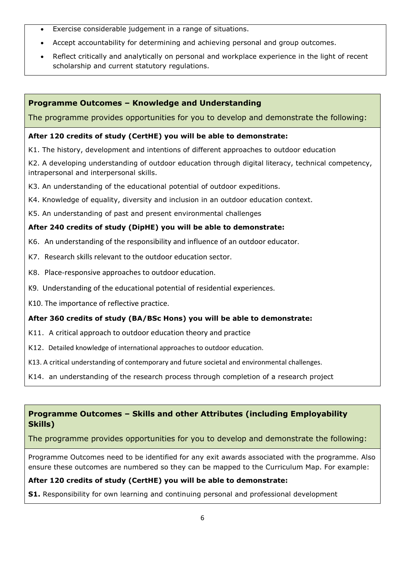- Exercise considerable judgement in a range of situations.
- Accept accountability for determining and achieving personal and group outcomes.
- Reflect critically and analytically on personal and workplace experience in the light of recent scholarship and current statutory regulations.

## **Programme Outcomes – Knowledge and Understanding**

The programme provides opportunities for you to develop and demonstrate the following:

#### **After 120 credits of study (CertHE) you will be able to demonstrate:**

K1. The history, development and intentions of different approaches to outdoor education

K2. A developing understanding of outdoor education through digital literacy, technical competency, intrapersonal and interpersonal skills.

- K3. An understanding of the educational potential of outdoor expeditions.
- K4. Knowledge of equality, diversity and inclusion in an outdoor education context.
- K5. An understanding of past and present environmental challenges

### **After 240 credits of study (DipHE) you will be able to demonstrate:**

- K6. An understanding of the responsibility and influence of an outdoor educator.
- K7. Research skills relevant to the outdoor education sector.
- K8. Place-responsive approaches to outdoor education.
- K9. Understanding of the educational potential of residential experiences.

K10. The importance of reflective practice.

## **After 360 credits of study (BA/BSc Hons) you will be able to demonstrate:**

- K11. A critical approach to outdoor education theory and practice
- K12. Detailed knowledge of international approaches to outdoor education.
- K13. A critical understanding of contemporary and future societal and environmental challenges.
- K14. an understanding of the research process through completion of a research project

## **Programme Outcomes – Skills and other Attributes (including Employability Skills)**

The programme provides opportunities for you to develop and demonstrate the following:

Programme Outcomes need to be identified for any exit awards associated with the programme. Also ensure these outcomes are numbered so they can be mapped to the Curriculum Map. For example:

#### **After 120 credits of study (CertHE) you will be able to demonstrate:**

**S1.** Responsibility for own learning and continuing personal and professional development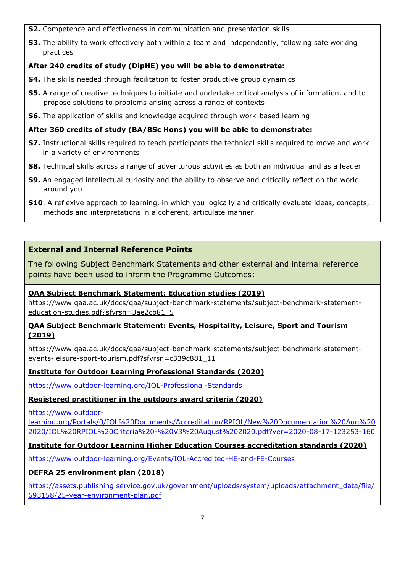- **S2.** Competence and effectiveness in communication and presentation skills
- **S3.** The ability to work effectively both within a team and independently, following safe working practices

# **After 240 credits of study (DipHE) you will be able to demonstrate:**

- **S4.** The skills needed through facilitation to foster productive group dynamics
- **S5.** A range of creative techniques to initiate and undertake critical analysis of information, and to propose solutions to problems arising across a range of contexts
- **S6.** The application of skills and knowledge acquired through work-based learning

## **After 360 credits of study (BA/BSc Hons) you will be able to demonstrate:**

- **S7.** Instructional skills required to teach participants the technical skills required to move and work in a variety of environments
- **S8.** Technical skills across a range of adventurous activities as both an individual and as a leader
- **S9.** An engaged intellectual curiosity and the ability to observe and critically reflect on the world around you
- **S10**. A reflexive approach to learning, in which you logically and critically evaluate ideas, concepts, methods and interpretations in a coherent, articulate manner

# **External and Internal Reference Points**

The following Subject Benchmark Statements and other external and internal reference points have been used to inform the Programme Outcomes:

## **QAA Subject Benchmark Statement: Education studies (2019)**

[https://www.qaa.ac.uk/docs/qaa/subject-benchmark-statements/subject-benchmark-statement](https://www.qaa.ac.uk/docs/qaa/subject-benchmark-statements/subject-benchmark-statement-education-studies.pdf?sfvrsn=3ae2cb81_5)[education-studies.pdf?sfvrsn=3ae2cb81\\_5](https://www.qaa.ac.uk/docs/qaa/subject-benchmark-statements/subject-benchmark-statement-education-studies.pdf?sfvrsn=3ae2cb81_5)

#### **QAA Subject Benchmark Statement: Events, Hospitality, Leisure, Sport and Tourism (2019)**

https://www.qaa.ac.uk/docs/qaa/subject-benchmark-statements/subject-benchmark-statementevents-leisure-sport-tourism.pdf?sfvrsn=c339c881\_11

## **Institute for Outdoor Learning Professional Standards (2020)**

<https://www.outdoor-learning.org/IOL-Professional-Standards>

## **Registered practitioner in the outdoors award criteria (2020)**

[https://www.outdoor-](https://www.outdoor-learning.org/Portals/0/IOL%20Documents/Accreditation/RPIOL/New%20Documentation%20Aug%202020/IOL%20RPIOL%20Criteria%20-%20V3%20August%202020.pdf?ver=2020-08-17-123253-160)

[learning.org/Portals/0/IOL%20Documents/Accreditation/RPIOL/New%20Documentation%20Aug%20](https://www.outdoor-learning.org/Portals/0/IOL%20Documents/Accreditation/RPIOL/New%20Documentation%20Aug%202020/IOL%20RPIOL%20Criteria%20-%20V3%20August%202020.pdf?ver=2020-08-17-123253-160) [2020/IOL%20RPIOL%20Criteria%20-%20V3%20August%202020.pdf?ver=2020-08-17-123253-160](https://www.outdoor-learning.org/Portals/0/IOL%20Documents/Accreditation/RPIOL/New%20Documentation%20Aug%202020/IOL%20RPIOL%20Criteria%20-%20V3%20August%202020.pdf?ver=2020-08-17-123253-160)

# **Institute for Outdoor Learning Higher Education Courses accreditation standards (2020)**

<https://www.outdoor-learning.org/Events/IOL-Accredited-HE-and-FE-Courses>

## **DEFRA 25 environment plan (2018)**

[https://assets.publishing.service.gov.uk/government/uploads/system/uploads/attachment\\_data/file/](https://assets.publishing.service.gov.uk/government/uploads/system/uploads/attachment_data/file/693158/25-year-environment-plan.pdf) [693158/25-year-environment-plan.pdf](https://assets.publishing.service.gov.uk/government/uploads/system/uploads/attachment_data/file/693158/25-year-environment-plan.pdf)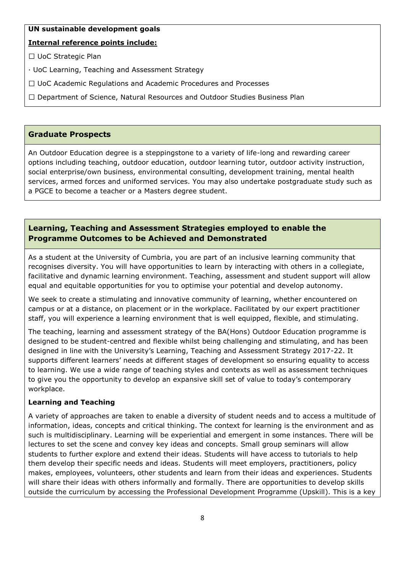#### **UN sustainable development goals**

#### **Internal reference points include:**

□ UoC Strategic Plan

· UoC Learning, Teaching and Assessment Strategy

 $\Box$  UoC Academic Regulations and Academic Procedures and Processes

 $\Box$  Department of Science, Natural Resources and Outdoor Studies Business Plan

#### **Graduate Prospects**

An Outdoor Education degree is a steppingstone to a variety of life-long and rewarding career options including teaching, outdoor education, outdoor learning tutor, outdoor activity instruction, social enterprise/own business, environmental consulting, development training, mental health services, armed forces and uniformed services. You may also undertake postgraduate study such as a PGCE to become a teacher or a Masters degree student.

# **Learning, Teaching and Assessment Strategies employed to enable the Programme Outcomes to be Achieved and Demonstrated**

As a student at the University of Cumbria, you are part of an inclusive learning community that recognises diversity. You will have opportunities to learn by interacting with others in a collegiate, facilitative and dynamic learning environment. Teaching, assessment and student support will allow equal and equitable opportunities for you to optimise your potential and develop autonomy.

We seek to create a stimulating and innovative community of learning, whether encountered on campus or at a distance, on placement or in the workplace. Facilitated by our expert practitioner staff, you will experience a learning environment that is well equipped, flexible, and stimulating.

The teaching, learning and assessment strategy of the BA(Hons) Outdoor Education programme is designed to be student-centred and flexible whilst being challenging and stimulating, and has been designed in line with the University's Learning, Teaching and Assessment Strategy 2017-22. It supports different learners' needs at different stages of development so ensuring equality to access to learning. We use a wide range of teaching styles and contexts as well as assessment techniques to give you the opportunity to develop an expansive skill set of value to today's contemporary workplace.

#### **Learning and Teaching**

A variety of approaches are taken to enable a diversity of student needs and to access a multitude of information, ideas, concepts and critical thinking. The context for learning is the environment and as such is multidisciplinary. Learning will be experiential and emergent in some instances. There will be lectures to set the scene and convey key ideas and concepts. Small group seminars will allow students to further explore and extend their ideas. Students will have access to tutorials to help them develop their specific needs and ideas. Students will meet employers, practitioners, policy makes, employees, volunteers, other students and learn from their ideas and experiences. Students will share their ideas with others informally and formally. There are opportunities to develop skills outside the curriculum by accessing the Professional Development Programme (Upskill). This is a key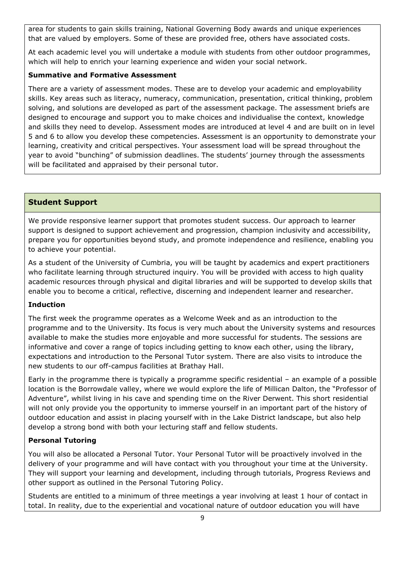area for students to gain skills training, National Governing Body awards and unique experiences that are valued by employers. Some of these are provided free, others have associated costs.

At each academic level you will undertake a module with students from other outdoor programmes, which will help to enrich your learning experience and widen your social network.

#### **Summative and Formative Assessment**

There are a variety of assessment modes. These are to develop your academic and employability skills. Key areas such as literacy, numeracy, communication, presentation, critical thinking, problem solving, and solutions are developed as part of the assessment package. The assessment briefs are designed to encourage and support you to make choices and individualise the context, knowledge and skills they need to develop. Assessment modes are introduced at level 4 and are built on in level 5 and 6 to allow you develop these competencies. Assessment is an opportunity to demonstrate your learning, creativity and critical perspectives. Your assessment load will be spread throughout the year to avoid "bunching" of submission deadlines. The students' journey through the assessments will be facilitated and appraised by their personal tutor.

## **Student Support**

We provide responsive learner support that promotes student success. Our approach to learner support is designed to support achievement and progression, champion inclusivity and accessibility, prepare you for opportunities beyond study, and promote independence and resilience, enabling you to achieve your potential.

As a student of the University of Cumbria, you will be taught by academics and expert practitioners who facilitate learning through structured inquiry. You will be provided with access to high quality academic resources through physical and digital libraries and will be supported to develop skills that enable you to become a critical, reflective, discerning and independent learner and researcher.

#### **Induction**

The first week the programme operates as a Welcome Week and as an introduction to the programme and to the University. Its focus is very much about the University systems and resources available to make the studies more enjoyable and more successful for students. The sessions are informative and cover a range of topics including getting to know each other, using the library, expectations and introduction to the Personal Tutor system. There are also visits to introduce the new students to our off-campus facilities at Brathay Hall.

Early in the programme there is typically a programme specific residential – an example of a possible location is the Borrowdale valley, where we would explore the life of Millican Dalton, the "Professor of Adventure", whilst living in his cave and spending time on the River Derwent. This short residential will not only provide you the opportunity to immerse yourself in an important part of the history of outdoor education and assist in placing yourself with in the Lake District landscape, but also help develop a strong bond with both your lecturing staff and fellow students.

#### **Personal Tutoring**

You will also be allocated a Personal Tutor. Your Personal Tutor will be proactively involved in the delivery of your programme and will have contact with you throughout your time at the University. They will support your learning and development, including through tutorials, Progress Reviews and other support as outlined in the Personal Tutoring Policy.

Students are entitled to a minimum of three meetings a year involving at least 1 hour of contact in total. In reality, due to the experiential and vocational nature of outdoor education you will have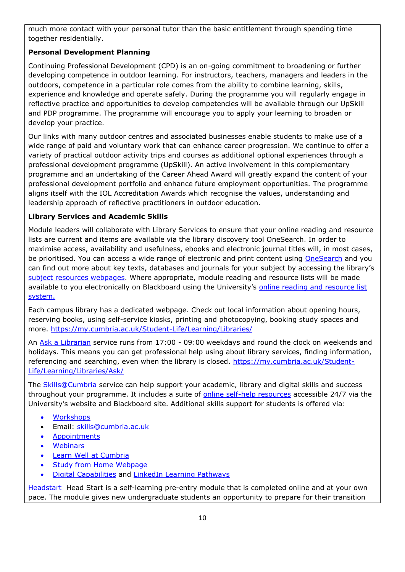much more contact with your personal tutor than the basic entitlement through spending time together residentially.

## **Personal Development Planning**

Continuing Professional Development (CPD) is an on-going commitment to broadening or further developing competence in outdoor learning. For instructors, teachers, managers and leaders in the outdoors, competence in a particular role comes from the ability to combine learning, skills, experience and knowledge and operate safely. During the programme you will regularly engage in reflective practice and opportunities to develop competencies will be available through our UpSkill and PDP programme. The programme will encourage you to apply your learning to broaden or develop your practice.

Our links with many outdoor centres and associated businesses enable students to make use of a wide range of paid and voluntary work that can enhance career progression. We continue to offer a variety of practical outdoor activity trips and courses as additional optional experiences through a professional development programme (UpSkill). An active involvement in this complementary programme and an undertaking of the Career Ahead Award will greatly expand the content of your professional development portfolio and enhance future employment opportunities. The programme aligns itself with the IOL Accreditation Awards which recognise the values, understanding and leadership approach of reflective practitioners in outdoor education.

### **Library Services and Academic Skills**

Module leaders will collaborate with Library Services to ensure that your online reading and resource lists are current and items are available via the library discovery tool OneSearch. In order to maximise access, availability and usefulness, ebooks and electronic journal titles will, in most cases, be prioritised. You can access a wide range of electronic and print content using [OneSearch](http://cumbria-primo.hosted.exlibrisgroup.com/primo_library/libweb/action/search.do?vid=44UOC_VU1) and you can find out more about key texts, databases and journals for your subject by accessing the library's [subject resources webpages.](http://my.cumbria.ac.uk/StudentLife/Learning/Resources/Subjects/Home.aspx) Where appropriate, module reading and resource lists will be made available to you electronically on Blackboard using the University's online reading and resource list [system.](https://eu.alma.exlibrisgroup.com/leganto/readinglist/lists)

Each campus library has a dedicated webpage. Check out local information about opening hours, reserving books, using self-service kiosks, printing and photocopying, booking study spaces and more.<https://my.cumbria.ac.uk/Student-Life/Learning/Libraries/>

An [Ask a Librarian](https://my.cumbria.ac.uk/Student-Life/Learning/Libraries/Ask/) service runs from 17:00 - 09:00 weekdays and round the clock on weekends and holidays. This means you can get professional help using about library services, finding information, referencing and searching, even when the library is closed. [https://my.cumbria.ac.uk/Student-](https://my.cumbria.ac.uk/Student-Life/Learning/Libraries/Ask/)[Life/Learning/Libraries/Ask/](https://my.cumbria.ac.uk/Student-Life/Learning/Libraries/Ask/)

The **Skills@Cumbria** service can help support your academic, library and digital skills and success throughout your programme. It includes a suite of [online self-help resources](https://my.cumbria.ac.uk/Student-Life/Learning/Skills-Cumbria/) accessible 24/7 via the University's website and Blackboard site. Additional skills support for students is offered via:

- [Workshops](https://my.cumbria.ac.uk/Student-Life/Learning/Skills-Cumbria/Need-more-help/)
- Email: [skills@cumbria.ac.uk](mailto:skills@cumbria.ac.uk)
- [Appointments](https://my.cumbria.ac.uk/Student-Life/Learning/Skills-Cumbria/Need-more-help/)
- [Webinars](https://my.cumbria.ac.uk/Student-Life/Learning/Skills-Cumbria/Need-more-help/)
- [Learn Well at Cumbria](https://my.cumbria.ac.uk/Student-Life/Learning/Skills-Cumbria/Learn-Well-at-Cumbria/)
- [Study from Home Webpage](https://my.cumbria.ac.uk/Student-Life/Learning/Resources/Studying-from-home/)
- [Digital Capabilities](https://my.cumbria.ac.uk/Digital-Capability/) and [LinkedIn Learning Pathways](https://my.cumbria.ac.uk/Student-Life/Learning/Linkedin-Learning/Digital-Capabilities-Pathways/)

[Headstart](https://my.cumbria.ac.uk/Student-Life/Learning/Resources/Blackboard-Open-Education/) Head Start is a self-learning pre-entry module that is completed online and at your own pace. The module gives new undergraduate students an opportunity to prepare for their transition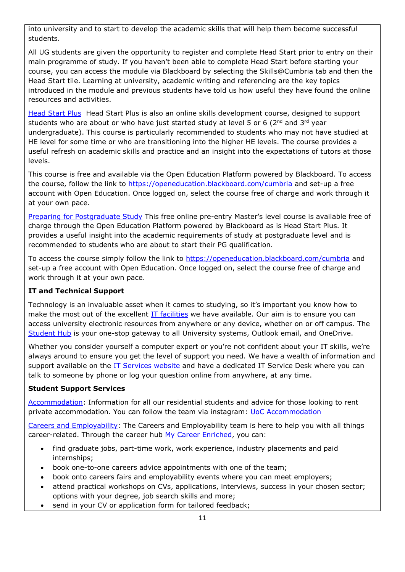into university and to start to develop the academic skills that will help them become successful students.

All UG students are given the opportunity to register and complete Head Start prior to entry on their main programme of study. If you haven't been able to complete Head Start before starting your course, you can access the module via Blackboard by selecting the Skills@Cumbria tab and then the Head Start tile. Learning at university, academic writing and referencing are the key topics introduced in the module and previous students have told us how useful they have found the online resources and activities.

[Head Start Plus](https://my.cumbria.ac.uk/Student-Life/Learning/Resources/Blackboard-Open-Education/) Head Start Plus is also an online skills development course, designed to support students who are about or who have just started study at level 5 or 6 ( $2<sup>nd</sup>$  and  $3<sup>rd</sup>$  year undergraduate). This course is particularly recommended to students who may not have studied at HE level for some time or who are transitioning into the higher HE levels. The course provides a useful refresh on academic skills and practice and an insight into the expectations of tutors at those levels.

This course is free and available via the Open Education Platform powered by Blackboard. To access the course, follow the link to<https://openeducation.blackboard.com/cumbria> and set-up a free account with Open Education. Once logged on, select the course free of charge and work through it at your own pace.

[Preparing for Postgraduate Study](https://my.cumbria.ac.uk/Student-Life/Learning/Resources/Blackboard-Open-Education/) This free online pre-entry Master's level course is available free of charge through the Open Education Platform powered by Blackboard as is Head Start Plus. It provides a useful insight into the academic requirements of study at postgraduate level and is recommended to students who are about to start their PG qualification.

To access the course simply follow the link to<https://openeducation.blackboard.com/cumbria> and set-up a free account with Open Education. Once logged on, select the course free of charge and work through it at your own pace.

## **IT and Technical Support**

Technology is an invaluable asset when it comes to studying, so it's important you know how to make the most out of the excellent [IT facilities](https://www.cumbria.ac.uk/student-life/facilities/it-facilities/) we have available. Our aim is to ensure you can access university electronic resources from anywhere or any device, whether on or off campus. The [Student Hub](https://hub.cumbria.ac.uk/dashboard/student) is your one-stop gateway to all University systems, Outlook email, and OneDrive.

Whether you consider yourself a computer expert or you're not confident about your IT skills, we're always around to ensure you get the level of support you need. We have a wealth of information and support available on the [IT Services website](https://my.cumbria.ac.uk/Student-Life/it-media/) and have a dedicated IT Service Desk where you can talk to someone by phone or log your question online from anywhere, at any time.

#### **Student Support Services**

[Accommodation:](https://www.cumbria.ac.uk/student-life/accommodation/) Information for all our residential students and advice for those looking to rent private accommodation. You can follow the team via instagram: [UoC Accommodation](https://my.cumbria.ac.uk/Student-Life/careers/Current-Students/)

[Careers and Employability:](https://my.cumbria.ac.uk/Student-Life/careers/) The Careers and Employability team is here to help you with all things career-related. Through the career hub [My Career Enriched,](https://mycareerenriched.cumbria.ac.uk/student/home.html) you can:

- find graduate jobs, part-time work, work experience, industry placements and paid internships;
- book one-to-one careers advice appointments with one of the team;
- book onto careers fairs and employability events where you can meet employers;
- attend practical workshops on CVs, applications, interviews, success in your chosen sector; options with your degree, job search skills and more;
- send in your CV or application form for tailored feedback;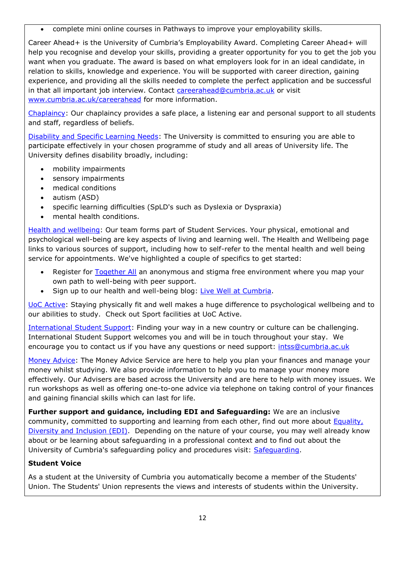complete mini online courses in Pathways to improve your employability skills.

Career Ahead+ is the University of Cumbria's Employability Award. Completing Career Ahead+ will help you recognise and develop your skills, providing a greater opportunity for you to get the job you want when you graduate. The award is based on what employers look for in an ideal candidate, in relation to skills, knowledge and experience. You will be supported with career direction, gaining experience, and providing all the skills needed to complete the perfect application and be successful in that all important job interview. Contact [careerahead@cumbria.ac.uk](mailto:careerahead@cumbria.ac.uk) or visit [www.cumbria.ac.uk/careerahead](http://www.cumbria.ac.uk/careerahead) for more information.

[Chaplaincy:](https://www.cumbria.ac.uk/student-life/student-support/chaplaincy/) Our chaplaincy provides a safe place, a listening ear and personal support to all students and staff, regardless of beliefs.

[Disability and Specific Learning Needs:](https://my.cumbria.ac.uk/Student-Life/Support/Disability/) The University is committed to ensuring you are able to participate effectively in your chosen programme of study and all areas of University life. The University defines disability broadly, including:

- mobility impairments
- sensory impairments
- medical conditions
- autism (ASD)
- specific learning difficulties (SpLD's such as Dyslexia or Dyspraxia)
- mental health conditions.

[Health and](https://my.cumbria.ac.uk/Student-Life/Health-and-Wellbeing/) wellbeing: Our team forms part of Student Services. Your physical, emotional and psychological well-being are key aspects of living and learning well. The Health and Wellbeing page links to various sources of support, including how to self-refer to the mental health and well being service for appointments. We've highlighted a couple of specifics to get started:

- Register for [Together All](https://my.cumbria.ac.uk/Student-Life/Health-and-Wellbeing/Big-White-Wall/) an anonymous and stigma free environment where you map your own path to well-being with peer support.
- Sign up to our health and well-being blog: [Live Well at Cumbria.](https://livewellcumbriaunihome.wordpress.com/)

[UoC Active:](https://www.cumbria.ac.uk/student-life/facilities/sports/) Staying physically fit and well makes a huge difference to psychological wellbeing and to our abilities to study. Check out Sport facilities at UoC Active.

[International Student Support:](https://www.cumbria.ac.uk/study/international-students/) Finding your way in a new country or culture can be challenging. International Student Support welcomes you and will be in touch throughout your stay. We encourage you to contact us if you have any questions or need support: [intss@cumbria.ac.uk](mailto:intss@cumbria.ac.uk)

[Money Advice:](https://my.cumbria.ac.uk/Student-Life/Money--Finance/Money-Doctors/) The Money Advice Service are here to help you plan your finances and manage your money whilst studying. We also provide information to help you to manage your money more effectively. Our Advisers are based across the University and are here to help with money issues. We run workshops as well as offering one-to-one advice via telephone on taking control of your finances and gaining financial skills which can last for life.

**Further support and guidance, including EDI and Safeguarding:** We are an inclusive community, committed to supporting and learning from each other, find out more about [Equality,](https://www.cumbria.ac.uk/about/equality-diversity-and-inclusion/)  [Diversity and Inclusion \(EDI\).](https://www.cumbria.ac.uk/about/equality-diversity-and-inclusion/) Depending on the nature of your course, you may well already know about or be learning about safeguarding in a professional context and to find out about the University of Cumbria's safeguarding policy and procedures visit: [Safeguarding.](https://my.cumbria.ac.uk/Student-Life/Health-and-Wellbeing/Safeguarding/)

## **Student Voice**

As a student at the University of Cumbria you automatically become a member of the Students' Union. The Students' Union represents the views and interests of students within the University.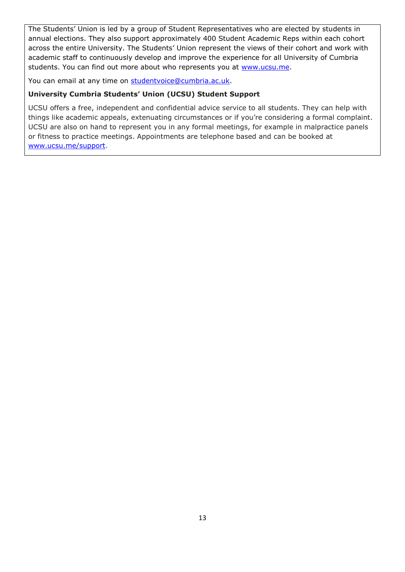The Students' Union is led by a group of Student Representatives who are elected by students in annual elections. They also support approximately 400 Student Academic Reps within each cohort across the entire University. The Students' Union represent the views of their cohort and work with academic staff to continuously develop and improve the experience for all University of Cumbria students. You can find out more about who represents you at [www.ucsu.me.](https://eur03.safelinks.protection.outlook.com/?url=http%3A%2F%2Fwww.ucsu.me%2F&data=01%7C01%7Calice.helm-alabaster%40cumbria.ac.uk%7C6f2148044d5b440a812f08d85fdaa95f%7Cb627db1d99584fd18ea48ac3b27cf00f%7C0&sdata=2TIr5uuU03XI6fpVrQqHeDUSuUkWECNvQ3UldWmClyg%3D&reserved=0)

You can email at any time on [studentvoice@cumbria.ac.uk.](mailto:studentvoice@cumbria.ac.uk)

### **University Cumbria Students' Union (UCSU) Student Support**

UCSU offers a free, independent and confidential advice service to all students. They can help with things like academic appeals, extenuating circumstances or if you're considering a formal complaint. UCSU are also on hand to represent you in any formal meetings, for example in malpractice panels or fitness to practice meetings. Appointments are telephone based and can be booked at [www.ucsu.me/support.](https://eur03.safelinks.protection.outlook.com/?url=http%3A%2F%2Fwww.ucsu.me%2Fsupport&data=01%7C01%7Calice.helm-alabaster%40cumbria.ac.uk%7C6f2148044d5b440a812f08d85fdaa95f%7Cb627db1d99584fd18ea48ac3b27cf00f%7C0&sdata=QO0AnE5mLJVI%2BvxaFzasbJsexArbF2oWRbpNi9IBt4E%3D&reserved=0)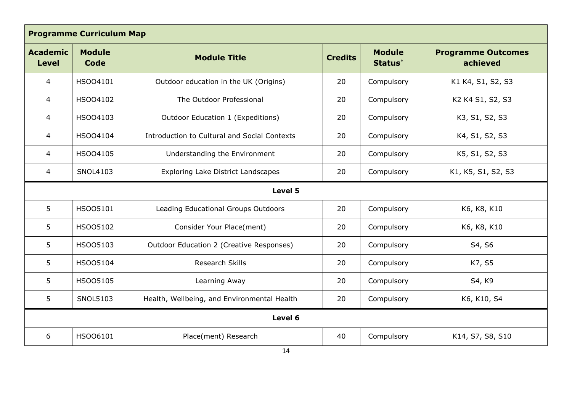| <b>Programme Curriculum Map</b> |                              |                                              |                |                          |                                       |
|---------------------------------|------------------------------|----------------------------------------------|----------------|--------------------------|---------------------------------------|
| <b>Academic</b><br><b>Level</b> | <b>Module</b><br><b>Code</b> | <b>Module Title</b>                          | <b>Credits</b> | <b>Module</b><br>Status* | <b>Programme Outcomes</b><br>achieved |
| 4                               | HSO04101                     | Outdoor education in the UK (Origins)        | 20             | Compulsory               | K1 K4, S1, S2, S3                     |
| $\overline{4}$                  | HSO04102                     | The Outdoor Professional                     | 20             | Compulsory               | K2 K4 S1, S2, S3                      |
| 4                               | HSO04103                     | Outdoor Education 1 (Expeditions)            | 20             | Compulsory               | K3, S1, S2, S3                        |
| 4                               | HSO04104                     | Introduction to Cultural and Social Contexts | 20             | Compulsory               | K4, S1, S2, S3                        |
| 4                               | HSO04105                     | Understanding the Environment                | 20             | Compulsory               | K5, S1, S2, S3                        |
| 4                               | SNOL4103                     | <b>Exploring Lake District Landscapes</b>    | 20             | Compulsory               | K1, K5, S1, S2, S3                    |
| Level 5                         |                              |                                              |                |                          |                                       |
| 5                               | HSO05101                     | Leading Educational Groups Outdoors          | 20             | Compulsory               | K6, K8, K10                           |
| 5                               | HSO05102                     | Consider Your Place(ment)                    | 20             | Compulsory               | K6, K8, K10                           |
| 5                               | HSO05103                     | Outdoor Education 2 (Creative Responses)     | 20             | Compulsory               | S4, S6                                |
| 5                               | HSO05104                     | Research Skills                              | 20             | Compulsory               | K7, S5                                |
| 5                               | HSO05105                     | Learning Away                                | 20             | Compulsory               | S4, K9                                |
| 5                               | SNOL5103                     | Health, Wellbeing, and Environmental Health  | 20             | Compulsory               | K6, K10, S4                           |
|                                 |                              | Level 6                                      |                |                          |                                       |
| 6                               | HSO06101                     | Place(ment) Research                         | 40             | Compulsory               | K14, S7, S8, S10                      |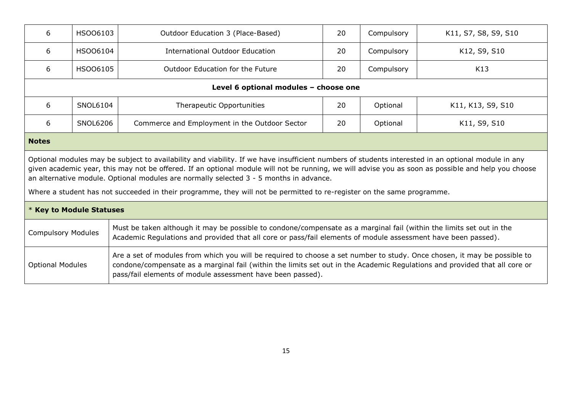| 6                                                                                                                                                                                                                                                                                                                                                                                                     | HSO06103                                                                                                                                                                                                                                                           | Outdoor Education 3 (Place-Based)             |    | Compulsory | K11, S7, S8, S9, S10 |
|-------------------------------------------------------------------------------------------------------------------------------------------------------------------------------------------------------------------------------------------------------------------------------------------------------------------------------------------------------------------------------------------------------|--------------------------------------------------------------------------------------------------------------------------------------------------------------------------------------------------------------------------------------------------------------------|-----------------------------------------------|----|------------|----------------------|
| 6                                                                                                                                                                                                                                                                                                                                                                                                     | HSO06104                                                                                                                                                                                                                                                           | International Outdoor Education               | 20 | Compulsory | K12, S9, S10         |
| 6                                                                                                                                                                                                                                                                                                                                                                                                     | HSO06105                                                                                                                                                                                                                                                           | Outdoor Education for the Future              | 20 | Compulsory | K13                  |
|                                                                                                                                                                                                                                                                                                                                                                                                       |                                                                                                                                                                                                                                                                    | Level 6 optional modules - choose one         |    |            |                      |
| 6                                                                                                                                                                                                                                                                                                                                                                                                     | SNOL6104                                                                                                                                                                                                                                                           | Therapeutic Opportunities                     | 20 | Optional   | K11, K13, S9, S10    |
| 6                                                                                                                                                                                                                                                                                                                                                                                                     | <b>SNOL6206</b>                                                                                                                                                                                                                                                    | Commerce and Employment in the Outdoor Sector |    | Optional   | K11, S9, S10         |
| <b>Notes</b>                                                                                                                                                                                                                                                                                                                                                                                          |                                                                                                                                                                                                                                                                    |                                               |    |            |                      |
| Optional modules may be subject to availability and viability. If we have insufficient numbers of students interested in an optional module in any<br>given academic year, this may not be offered. If an optional module will not be running, we will advise you as soon as possible and help you choose<br>an alternative module. Optional modules are normally selected $3 - 5$ months in advance. |                                                                                                                                                                                                                                                                    |                                               |    |            |                      |
| Where a student has not succeeded in their programme, they will not be permitted to re-register on the same programme.                                                                                                                                                                                                                                                                                |                                                                                                                                                                                                                                                                    |                                               |    |            |                      |
| * Key to Module Statuses                                                                                                                                                                                                                                                                                                                                                                              |                                                                                                                                                                                                                                                                    |                                               |    |            |                      |
|                                                                                                                                                                                                                                                                                                                                                                                                       | Must be taken although it may be possible to condone/compensate as a marginal fail (within the limits set out in the<br><b>Compulsory Modules</b><br>Academic Regulations and provided that all core or pass/fail elements of module assessment have been passed). |                                               |    |            |                      |
| Are a set of modules from which you will be required to choose a set number to study. Once chosen, it may be possible to<br><b>Optional Modules</b><br>condone/compensate as a marginal fail (within the limits set out in the Academic Regulations and provided that all core or<br>pass/fail elements of module assessment have been passed).                                                       |                                                                                                                                                                                                                                                                    |                                               |    |            |                      |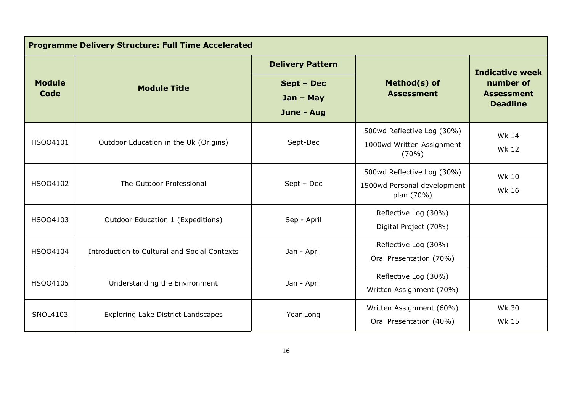| <b>Programme Delivery Structure: Full Time Accelerated</b> |                                              |                                         |                                                                         |                                                                             |  |
|------------------------------------------------------------|----------------------------------------------|-----------------------------------------|-------------------------------------------------------------------------|-----------------------------------------------------------------------------|--|
|                                                            |                                              | <b>Delivery Pattern</b>                 |                                                                         | <b>Indicative week</b><br>number of<br><b>Assessment</b><br><b>Deadline</b> |  |
| <b>Module</b><br>Code                                      | <b>Module Title</b>                          | Sept - Dec<br>$Jan - May$<br>June - Aug | Method(s) of<br><b>Assessment</b>                                       |                                                                             |  |
| HSO04101                                                   | Outdoor Education in the Uk (Origins)        | Sept-Dec                                | 500wd Reflective Log (30%)<br>1000wd Written Assignment<br>$(70\%)$     | Wk 14<br><b>Wk 12</b>                                                       |  |
| HSO04102                                                   | The Outdoor Professional                     | $Sept - Dec$                            | 500wd Reflective Log (30%)<br>1500wd Personal development<br>plan (70%) | <b>Wk 10</b><br><b>Wk 16</b>                                                |  |
| HSO04103                                                   | Outdoor Education 1 (Expeditions)            | Sep - April                             | Reflective Log (30%)<br>Digital Project (70%)                           |                                                                             |  |
| HSO04104                                                   | Introduction to Cultural and Social Contexts | Jan - April                             | Reflective Log (30%)<br>Oral Presentation (70%)                         |                                                                             |  |
| HSO04105                                                   | Understanding the Environment                | Jan - April                             | Reflective Log (30%)<br>Written Assignment (70%)                        |                                                                             |  |
| SNOL4103                                                   | <b>Exploring Lake District Landscapes</b>    | Year Long                               | Written Assignment (60%)<br>Oral Presentation (40%)                     | <b>Wk 30</b><br><b>Wk 15</b>                                                |  |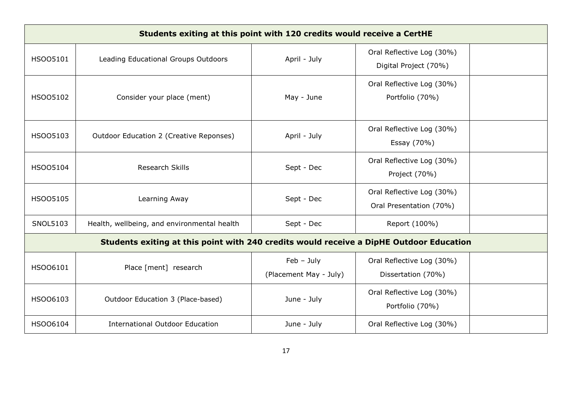| Students exiting at this point with 120 credits would receive a CertHE                  |                                             |                                        |                                                      |  |  |
|-----------------------------------------------------------------------------------------|---------------------------------------------|----------------------------------------|------------------------------------------------------|--|--|
| HSO05101                                                                                | Leading Educational Groups Outdoors         | April - July                           | Oral Reflective Log (30%)<br>Digital Project (70%)   |  |  |
| HSO05102                                                                                | Consider your place (ment)                  | May - June                             | Oral Reflective Log (30%)<br>Portfolio (70%)         |  |  |
| HSO05103                                                                                | Outdoor Education 2 (Creative Reponses)     | April - July                           | Oral Reflective Log (30%)<br>Essay (70%)             |  |  |
| HSO05104                                                                                | <b>Research Skills</b>                      | Sept - Dec                             | Oral Reflective Log (30%)<br>Project (70%)           |  |  |
| HSO05105                                                                                | Learning Away                               | Sept - Dec                             | Oral Reflective Log (30%)<br>Oral Presentation (70%) |  |  |
| <b>SNOL5103</b>                                                                         | Health, wellbeing, and environmental health | Sept - Dec                             | Report (100%)                                        |  |  |
| Students exiting at this point with 240 credits would receive a DipHE Outdoor Education |                                             |                                        |                                                      |  |  |
| HSO06101                                                                                | Place [ment] research                       | $Feb - July$<br>(Placement May - July) | Oral Reflective Log (30%)<br>Dissertation (70%)      |  |  |
| HSO06103                                                                                | Outdoor Education 3 (Place-based)           | June - July                            | Oral Reflective Log (30%)<br>Portfolio (70%)         |  |  |
| HSO06104                                                                                | <b>International Outdoor Education</b>      | June - July                            | Oral Reflective Log (30%)                            |  |  |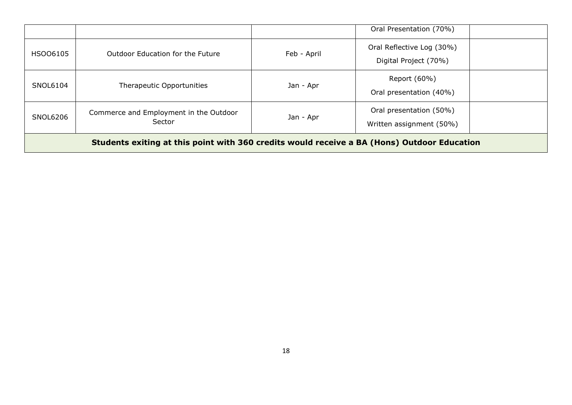|                                                                                             |                                                  |             | Oral Presentation (70%)                             |
|---------------------------------------------------------------------------------------------|--------------------------------------------------|-------------|-----------------------------------------------------|
| HSO06105                                                                                    | Outdoor Education for the Future                 | Feb - April | Oral Reflective Log (30%)<br>Digital Project (70%)  |
| SNOL6104                                                                                    | Therapeutic Opportunities                        | Jan - Apr   | Report (60%)<br>Oral presentation (40%)             |
| SNOL6206                                                                                    | Commerce and Employment in the Outdoor<br>Sector | Jan - Apr   | Oral presentation (50%)<br>Written assignment (50%) |
| Students exiting at this point with 360 credits would receive a BA (Hons) Outdoor Education |                                                  |             |                                                     |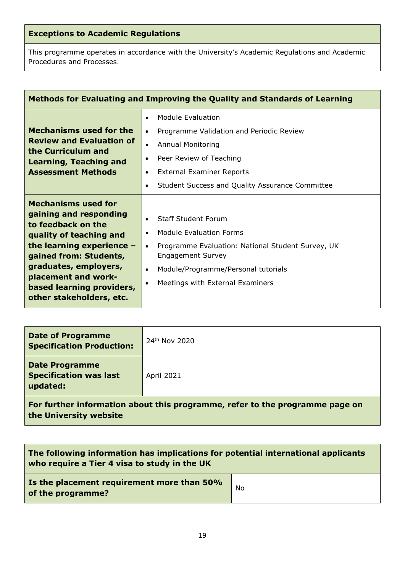# **Exceptions to Academic Regulations**

This programme operates in accordance with the University's Academic Regulations and Academic Procedures and Processes.

| Methods for Evaluating and Improving the Quality and Standards of Learning                                                                                                                                                                                              |                                                                                                                                                                                                                                                                                   |  |  |  |
|-------------------------------------------------------------------------------------------------------------------------------------------------------------------------------------------------------------------------------------------------------------------------|-----------------------------------------------------------------------------------------------------------------------------------------------------------------------------------------------------------------------------------------------------------------------------------|--|--|--|
| <b>Mechanisms used for the</b><br><b>Review and Evaluation of</b><br>the Curriculum and<br><b>Learning, Teaching and</b><br><b>Assessment Methods</b>                                                                                                                   | Module Evaluation<br>$\bullet$<br>Programme Validation and Periodic Review<br>$\bullet$<br><b>Annual Monitoring</b><br>$\bullet$<br>Peer Review of Teaching<br>$\bullet$<br><b>External Examiner Reports</b><br>٠<br>Student Success and Quality Assurance Committee<br>$\bullet$ |  |  |  |
| <b>Mechanisms used for</b><br>gaining and responding<br>to feedback on the<br>quality of teaching and<br>the learning experience $-$<br>gained from: Students,<br>graduates, employers,<br>placement and work-<br>based learning providers,<br>other stakeholders, etc. | <b>Staff Student Forum</b><br>Module Evaluation Forms<br>$\bullet$<br>Programme Evaluation: National Student Survey, UK<br>$\bullet$<br><b>Engagement Survey</b><br>Module/Programme/Personal tutorials<br>$\bullet$<br>Meetings with External Examiners<br>$\bullet$             |  |  |  |

| <b>Date of Programme</b><br><b>Specification Production:</b>       | 24 <sup>th</sup> Nov 2020 |
|--------------------------------------------------------------------|---------------------------|
| <b>Date Programme</b><br><b>Specification was last</b><br>updated: | <b>April 2021</b>         |

**For further information about this programme, refer to the programme page on the University website**

| The following information has implications for potential international applicants<br>who require a Tier 4 visa to study in the UK |    |
|-----------------------------------------------------------------------------------------------------------------------------------|----|
| Is the placement requirement more than 50%<br>of the programme?                                                                   | No |